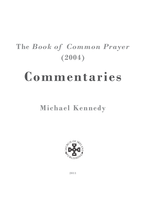# **The** *Book of Common Prayer* **(2004)**

# **Commentaries**

# **Michael Kennedy**



**2011**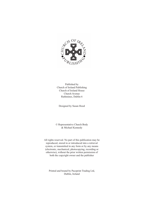

Published by Church of Ireland Publishing Church of Ireland House Church Avenue Rathmines, Dublin 6

Designed by Susan Hood

© Representative Church Body & Michael Kennedy

All rights reserved. No part of this publication may be reproduced, stored in or introduced into a retrieval system, or transmitted in any form or by any means (electronic, mechanical, photocopying, recording or otherwise), without the prior written permission of both the copyright owner and the publisher

Printed and bound by Paceprint Trading Ltd, Dublin, Ireland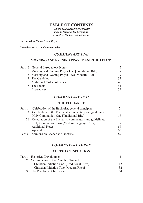# **TABLE OF CONTENTS**

*A more detailed table of contents may be found at the beginning of each of the five commentaries* 

**Foreword** *by Canon Brian Mayne* 

**Introduction to the Commentaries** 

#### *COMMENTARY ONE*

#### **MORNING AND EVENING PRAYER AND THE LITANY**

|  | Part 1 General Introductory Notes                   |                 |
|--|-----------------------------------------------------|-----------------|
|  | 2 Morning and Evening Prayer One [Traditional Rite] |                 |
|  | 3 Morning and Evening Prayer Two [Modern Rite]      | 19              |
|  | 4 The Canticles                                     | 32 <sub>1</sub> |
|  | 5 Additional Orders of Service                      | 48              |
|  | 6 The Litany                                        | 51              |
|  | Appendices                                          |                 |

### *COMMENTARY TWO*

#### **THE EUCHARIST**

|        | Part 1 Celebration of the Eucharist, general principles     |    |
|--------|-------------------------------------------------------------|----|
|        | 2A Celebration of the Eucharist, commentary and guidelines: |    |
|        | Holy Communion One [Traditional Rite]                       |    |
|        | 2B Celebration of the Eucharist, commentary and guidelines: |    |
|        | Holy Communion Two [Modern Language Rites]                  | 37 |
|        | <b>Additional Notes</b>                                     | 66 |
|        | Appendices                                                  | 66 |
| Part 3 | Sermons on Eucharistic Doctrine                             | 89 |
|        |                                                             |    |

## *COMMENTARY THREE*

#### **CHRISTIAN INITIATION**

| Part 1 Historical Development                  |    |
|------------------------------------------------|----|
| 2 Current Rites in the Church of Ireland       |    |
| Christian Initiation One [Traditional Rites]   |    |
| <b>Christian Initiation Two [Modern Rites]</b> | 32 |
| 3 The Theology of Initiation                   | 54 |
|                                                |    |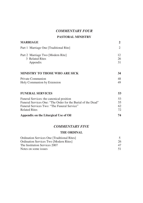## *COMMENTARY FOUR*

# **PASTORAL MINISTRY**

| <b>MARRIAGE</b>                                                                                                                                                                        |                |
|----------------------------------------------------------------------------------------------------------------------------------------------------------------------------------------|----------------|
| Part 1 Marriage One [Traditional Rite]                                                                                                                                                 | 2              |
| Part 2 Marriage Two [Modern Rite]<br>3 Related Rites<br>Appendix                                                                                                                       | 12<br>26<br>31 |
| <b>MINISTRY TO THOSE WHO ARE SICK</b>                                                                                                                                                  | 34             |
| <b>Private Communion</b><br>Holy Communion by Extension                                                                                                                                |                |
| <b>FUNERAL SERVICES</b>                                                                                                                                                                | 53             |
| Funeral Services: the canonical position<br>Funeral Services One: "The Order for the Burial of the Dead"<br><b>Funeral Services Two: "The Funeral Service"</b><br><b>Related Rites</b> |                |
| Appendix on the Liturgical Use of Oil                                                                                                                                                  | 74             |
| <b>COMMENTARY FIVE</b>                                                                                                                                                                 |                |
| <b>THE ORDINAL</b>                                                                                                                                                                     |                |

| <b>Ordination Services One [Traditional Rites]</b> |     |
|----------------------------------------------------|-----|
| <b>Ordination Services Two [Modern Rites]</b>      | 26  |
| The Institution Services 2007                      | 47  |
| Notes on some issues                               | -51 |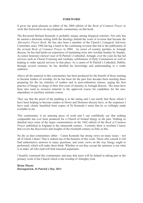#### **FOREWORD**

It gives me great pleasure as editor of the 2004 edition of the *Book of Common Prayer* to write this foreword to an encyclopaedic commentary on that book.

The Reverend Michael Kennedy is probably unique among liturgical scholars. Not only has he earned a doctorate setting forth the theology behind the work of revision that became the *Alternative Prayer Book*. He has also been a member of the Church's Liturgical Advisory Committee since 1986 having a hand in the continuing revision that led to the publication of the revised *Book of Common Prayer* in 2004. As rector of country parishes in Armagh diocese, he has had hands-on experience of translating texts into worship Sunday by Sunday. As senior honorary clerical vicar of St Patrick's Cathedral, Armagh, over the years he has led services such as Choral Evensong and weekday celebrations of Holy Communion as well as helping to order special services in that place. As a canon of St Patrick's Cathedral, Dublin, through several sermons, he has distilled his knowledge and understanding to a wider audience.

Above all the material in this commentary has been produced for the benefit of those training to became leaders of worship; for he has been for the past four decades been teaching those preparing for the lay ministry of readers and in post-ordination classes, urging the best practice of liturgy to clergy in their first years of ministry in Armagh diocese. His notes have been also used as resource material in the approved course for candidates for the nonstipendiary or auxiliary ministry course.

They say that the proof of the pudding is in the eating and I can testify that those whom I have been helping to become readers in Down and Dromore diocese have, in the responses I have read, clearly benefited from copies of Dr Kennedy's notes that he so willingly made available to me.

This commentary is an amazing piece of work and I can confidently say that nothing comparable has ever been produced for a Church of Ireland liturgy in the past. Nothing so detailed since some of the major commentaries on the 1662 edition of the *Book of Common Prayer* published in England in the nineteenth century. Certainly there is nowhere I know that covers the discoveries and insights of the twentieth century as fully as this.

No dry as dust commentary either – Canon Kennedy has strong views on many issues – not all of which I share! That is indeed one of the beauties of this work. Those who consult it will find authoritative answers to many questions, and some views on the way liturgy ought to performed, which will make them think. Whether or not they accept the opinions is not what is at stake: all who read will find reasoned arguments.

I heartily commend this commentary and pray that users will be helped in taking part in the primary work of the Church which is the worship of Almighty God.

**Brian Mayne Downpatrick, St Patrick's Day 2011**